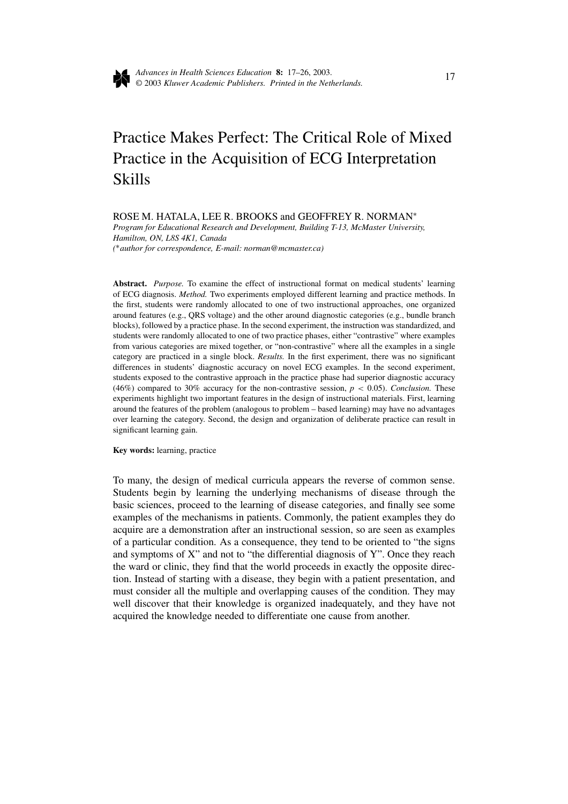

# Practice Makes Perfect: The Critical Role of Mixed Practice in the Acquisition of ECG Interpretation Skills

ROSE M. HATALA, LEE R. BROOKS and GEOFFREY R. NORMAN<sup>∗</sup>

*Program for Educational Research and Development, Building T-13, McMaster University, Hamilton, ON, L8S 4K1, Canada (* ∗*author for correspondence, E-mail: norman@mcmaster.ca)*

**Abstract.** *Purpose.* To examine the effect of instructional format on medical students' learning of ECG diagnosis. *Method.* Two experiments employed different learning and practice methods. In the first, students were randomly allocated to one of two instructional approaches, one organized around features (e.g., QRS voltage) and the other around diagnostic categories (e.g., bundle branch blocks), followed by a practice phase. In the second experiment, the instruction was standardized, and students were randomly allocated to one of two practice phases, either "contrastive" where examples from various categories are mixed together, or "non-contrastive" where all the examples in a single category are practiced in a single block. *Results.* In the first experiment, there was no significant differences in students' diagnostic accuracy on novel ECG examples. In the second experiment, students exposed to the contrastive approach in the practice phase had superior diagnostic accuracy (46%) compared to 30% accuracy for the non-contrastive session,  $p < 0.05$ ). *Conclusion*. These experiments highlight two important features in the design of instructional materials. First, learning around the features of the problem (analogous to problem – based learning) may have no advantages over learning the category. Second, the design and organization of deliberate practice can result in significant learning gain.

**Key words:** learning, practice

To many, the design of medical curricula appears the reverse of common sense. Students begin by learning the underlying mechanisms of disease through the basic sciences, proceed to the learning of disease categories, and finally see some examples of the mechanisms in patients. Commonly, the patient examples they do acquire are a demonstration after an instructional session, so are seen as examples of a particular condition. As a consequence, they tend to be oriented to "the signs and symptoms of X" and not to "the differential diagnosis of Y". Once they reach the ward or clinic, they find that the world proceeds in exactly the opposite direction. Instead of starting with a disease, they begin with a patient presentation, and must consider all the multiple and overlapping causes of the condition. They may well discover that their knowledge is organized inadequately, and they have not acquired the knowledge needed to differentiate one cause from another.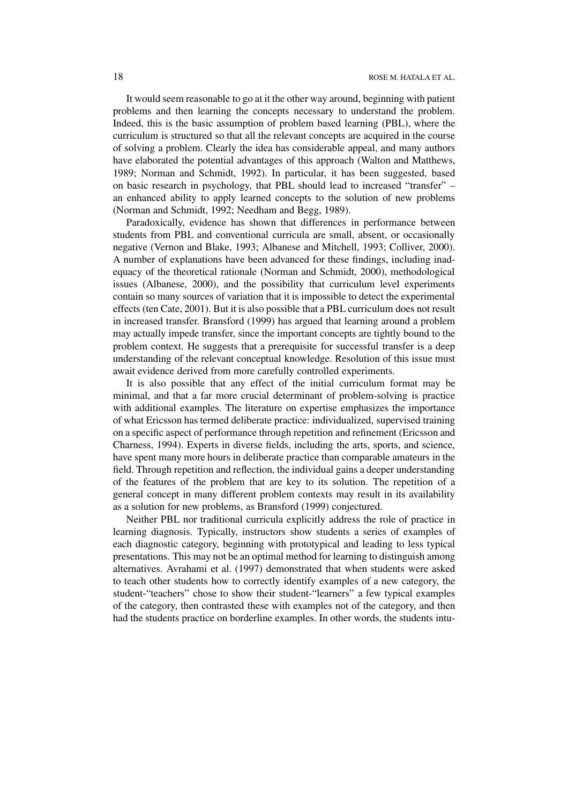It would seem reasonable to go at it the other way around, beginning with patient problems and then learning the concepts necessary to understand the problem. Indeed, this is the basic assumption of problem based learning (PBL), where the curriculum is structured so that all the relevant concepts are acquired in the course of solving a problem. Clearly the idea has considerable appeal, and many authors have elaborated the potential advantages of this approach (Walton and Matthews, 1989; Norman and Schmidt, 1992). In particular, it has been suggested, based on basic research in psychology, that PBL should lead to increased "transfer" – an enhanced ability to apply learned concepts to the solution of new problems (Norman and Schmidt, 1992; Needham and Begg, 1989).

Paradoxically, evidence has shown that differences in performance between students from PBL and conventional curricula are small, absent, or occasionally negative (Vernon and Blake, 1993; Albanese and Mitchell, 1993; Colliver, 2000). A number of explanations have been advanced for these findings, including inadequacy of the theoretical rationale (Norman and Schmidt, 2000), methodological issues (Albanese, 2000), and the possibility that curriculum level experiments contain so many sources of variation that it is impossible to detect the experimental effects (ten Cate, 2001). But it is also possible that a PBL curriculum does not result in increased transfer. Bransford (1999) has argued that learning around a problem may actually impede transfer, since the important concepts are tightly bound to the problem context. He suggests that a prerequisite for successful transfer is a deep understanding of the relevant conceptual knowledge. Resolution of this issue must await evidence derived from more carefully controlled experiments.

It is also possible that any effect of the initial curriculum format may be minimal, and that a far more crucial determinant of problem-solving is practice with additional examples. The literature on expertise emphasizes the importance of what Ericsson has termed deliberate practice: individualized, supervised training on a specific aspect of performance through repetition and refinement (Ericsson and Charness, 1994). Experts in diverse fields, including the arts, sports, and science, have spent many more hours in deliberate practice than comparable amateurs in the field. Through repetition and reflection, the individual gains a deeper understanding of the features of the problem that are key to its solution. The repetition of a general concept in many different problem contexts may result in its availability as a solution for new problems, as Bransford (1999) conjectured.

Neither PBL nor traditional curricula explicitly address the role of practice in learning diagnosis. Typically, instructors show students a series of examples of each diagnostic category, beginning with prototypical and leading to less typical presentations. This may not be an optimal method for learning to distinguish among alternatives. Avrahami et al. (1997) demonstrated that when students were asked to teach other students how to correctly identify examples of a new category, the student-"teachers" chose to show their student-"learners" a few typical examples of the category, then contrasted these with examples not of the category, and then had the students practice on borderline examples. In other words, the students intu-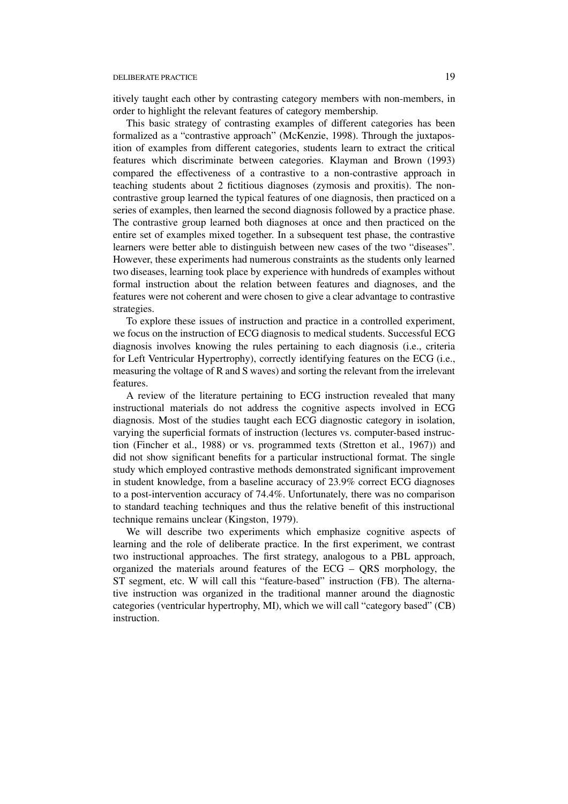itively taught each other by contrasting category members with non-members, in order to highlight the relevant features of category membership.

This basic strategy of contrasting examples of different categories has been formalized as a "contrastive approach" (McKenzie, 1998). Through the juxtaposition of examples from different categories, students learn to extract the critical features which discriminate between categories. Klayman and Brown (1993) compared the effectiveness of a contrastive to a non-contrastive approach in teaching students about 2 fictitious diagnoses (zymosis and proxitis). The noncontrastive group learned the typical features of one diagnosis, then practiced on a series of examples, then learned the second diagnosis followed by a practice phase. The contrastive group learned both diagnoses at once and then practiced on the entire set of examples mixed together. In a subsequent test phase, the contrastive learners were better able to distinguish between new cases of the two "diseases". However, these experiments had numerous constraints as the students only learned two diseases, learning took place by experience with hundreds of examples without formal instruction about the relation between features and diagnoses, and the features were not coherent and were chosen to give a clear advantage to contrastive strategies.

To explore these issues of instruction and practice in a controlled experiment, we focus on the instruction of ECG diagnosis to medical students. Successful ECG diagnosis involves knowing the rules pertaining to each diagnosis (i.e., criteria for Left Ventricular Hypertrophy), correctly identifying features on the ECG (i.e., measuring the voltage of R and S waves) and sorting the relevant from the irrelevant features.

A review of the literature pertaining to ECG instruction revealed that many instructional materials do not address the cognitive aspects involved in ECG diagnosis. Most of the studies taught each ECG diagnostic category in isolation, varying the superficial formats of instruction (lectures vs. computer-based instruction (Fincher et al., 1988) or vs. programmed texts (Stretton et al., 1967)) and did not show significant benefits for a particular instructional format. The single study which employed contrastive methods demonstrated significant improvement in student knowledge, from a baseline accuracy of 23.9% correct ECG diagnoses to a post-intervention accuracy of 74.4%. Unfortunately, there was no comparison to standard teaching techniques and thus the relative benefit of this instructional technique remains unclear (Kingston, 1979).

We will describe two experiments which emphasize cognitive aspects of learning and the role of deliberate practice. In the first experiment, we contrast two instructional approaches. The first strategy, analogous to a PBL approach, organized the materials around features of the ECG – QRS morphology, the ST segment, etc. W will call this "feature-based" instruction (FB). The alternative instruction was organized in the traditional manner around the diagnostic categories (ventricular hypertrophy, MI), which we will call "category based" (CB) instruction.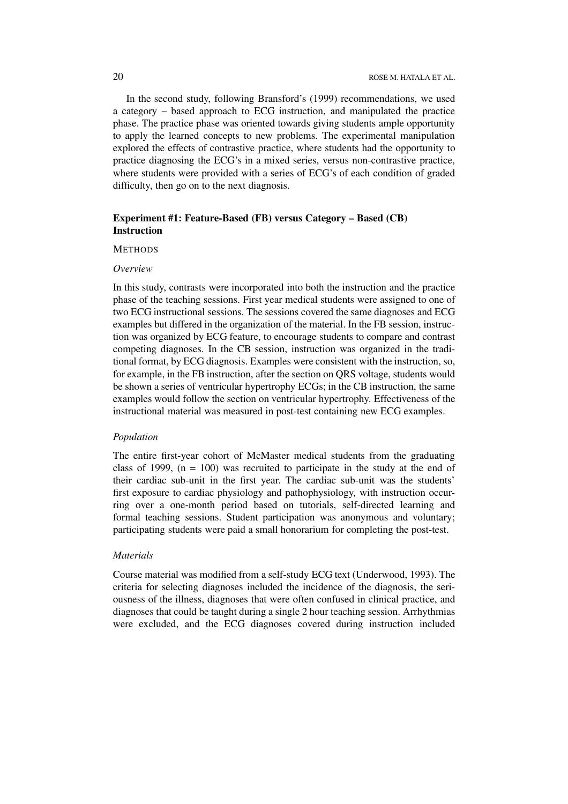In the second study, following Bransford's (1999) recommendations, we used a category – based approach to ECG instruction, and manipulated the practice phase. The practice phase was oriented towards giving students ample opportunity to apply the learned concepts to new problems. The experimental manipulation explored the effects of contrastive practice, where students had the opportunity to practice diagnosing the ECG's in a mixed series, versus non-contrastive practice, where students were provided with a series of ECG's of each condition of graded difficulty, then go on to the next diagnosis.

# **Experiment #1: Feature-Based (FB) versus Category – Based (CB) Instruction**

# **METHODS**

#### *Overview*

In this study, contrasts were incorporated into both the instruction and the practice phase of the teaching sessions. First year medical students were assigned to one of two ECG instructional sessions. The sessions covered the same diagnoses and ECG examples but differed in the organization of the material. In the FB session, instruction was organized by ECG feature, to encourage students to compare and contrast competing diagnoses. In the CB session, instruction was organized in the traditional format, by ECG diagnosis. Examples were consistent with the instruction, so, for example, in the FB instruction, after the section on QRS voltage, students would be shown a series of ventricular hypertrophy ECGs; in the CB instruction, the same examples would follow the section on ventricular hypertrophy. Effectiveness of the instructional material was measured in post-test containing new ECG examples.

# *Population*

The entire first-year cohort of McMaster medical students from the graduating class of 1999,  $(n = 100)$  was recruited to participate in the study at the end of their cardiac sub-unit in the first year. The cardiac sub-unit was the students' first exposure to cardiac physiology and pathophysiology, with instruction occurring over a one-month period based on tutorials, self-directed learning and formal teaching sessions. Student participation was anonymous and voluntary; participating students were paid a small honorarium for completing the post-test.

#### *Materials*

Course material was modified from a self-study ECG text (Underwood, 1993). The criteria for selecting diagnoses included the incidence of the diagnosis, the seriousness of the illness, diagnoses that were often confused in clinical practice, and diagnoses that could be taught during a single 2 hour teaching session. Arrhythmias were excluded, and the ECG diagnoses covered during instruction included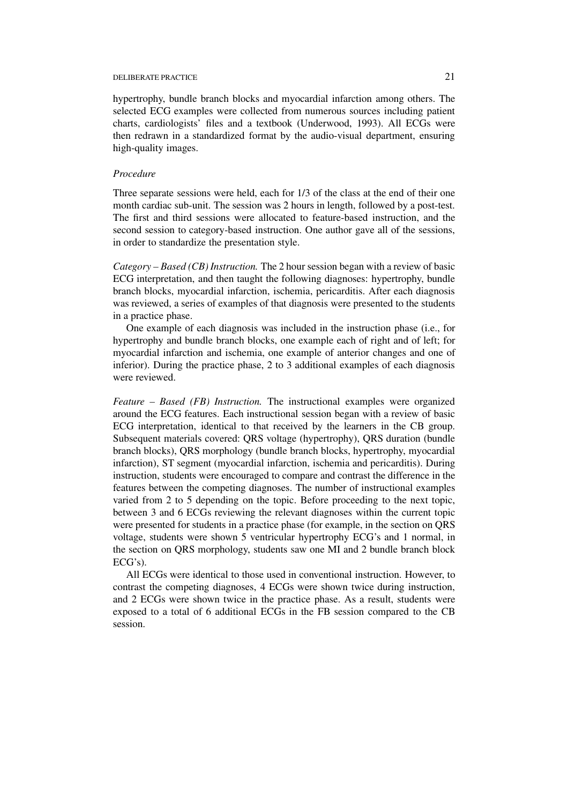hypertrophy, bundle branch blocks and myocardial infarction among others. The selected ECG examples were collected from numerous sources including patient charts, cardiologists' files and a textbook (Underwood, 1993). All ECGs were then redrawn in a standardized format by the audio-visual department, ensuring high-quality images.

# *Procedure*

Three separate sessions were held, each for 1/3 of the class at the end of their one month cardiac sub-unit. The session was 2 hours in length, followed by a post-test. The first and third sessions were allocated to feature-based instruction, and the second session to category-based instruction. One author gave all of the sessions, in order to standardize the presentation style.

*Category – Based (CB) Instruction.* The 2 hour session began with a review of basic ECG interpretation, and then taught the following diagnoses: hypertrophy, bundle branch blocks, myocardial infarction, ischemia, pericarditis. After each diagnosis was reviewed, a series of examples of that diagnosis were presented to the students in a practice phase.

One example of each diagnosis was included in the instruction phase (i.e., for hypertrophy and bundle branch blocks, one example each of right and of left; for myocardial infarction and ischemia, one example of anterior changes and one of inferior). During the practice phase, 2 to 3 additional examples of each diagnosis were reviewed.

*Feature – Based (FB) Instruction.* The instructional examples were organized around the ECG features. Each instructional session began with a review of basic ECG interpretation, identical to that received by the learners in the CB group. Subsequent materials covered: QRS voltage (hypertrophy), QRS duration (bundle branch blocks), QRS morphology (bundle branch blocks, hypertrophy, myocardial infarction), ST segment (myocardial infarction, ischemia and pericarditis). During instruction, students were encouraged to compare and contrast the difference in the features between the competing diagnoses. The number of instructional examples varied from 2 to 5 depending on the topic. Before proceeding to the next topic, between 3 and 6 ECGs reviewing the relevant diagnoses within the current topic were presented for students in a practice phase (for example, in the section on QRS voltage, students were shown 5 ventricular hypertrophy ECG's and 1 normal, in the section on QRS morphology, students saw one MI and 2 bundle branch block ECG's).

All ECGs were identical to those used in conventional instruction. However, to contrast the competing diagnoses, 4 ECGs were shown twice during instruction, and 2 ECGs were shown twice in the practice phase. As a result, students were exposed to a total of 6 additional ECGs in the FB session compared to the CB session.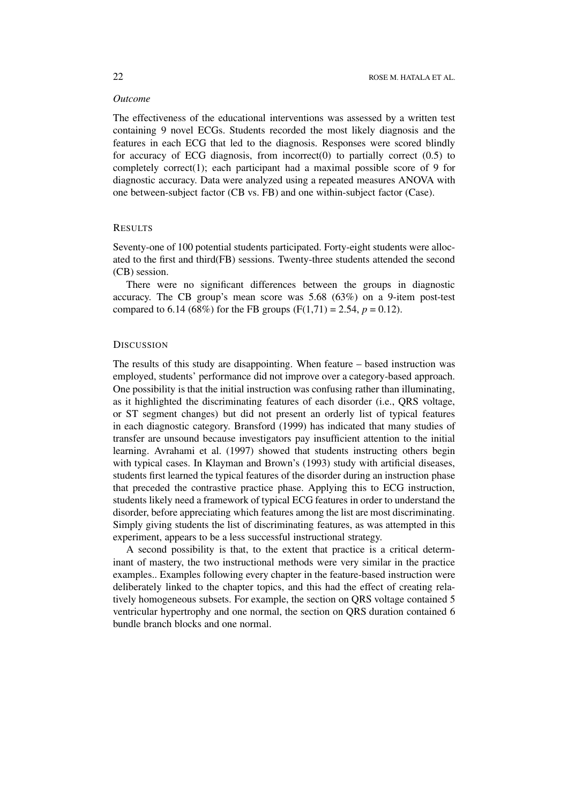# *Outcome*

The effectiveness of the educational interventions was assessed by a written test containing 9 novel ECGs. Students recorded the most likely diagnosis and the features in each ECG that led to the diagnosis. Responses were scored blindly for accuracy of ECG diagnosis, from incorrect $(0)$  to partially correct  $(0.5)$  to completely correct(1); each participant had a maximal possible score of 9 for diagnostic accuracy. Data were analyzed using a repeated measures ANOVA with one between-subject factor (CB vs. FB) and one within-subject factor (Case).

# **RESULTS**

Seventy-one of 100 potential students participated. Forty-eight students were allocated to the first and third(FB) sessions. Twenty-three students attended the second (CB) session.

There were no significant differences between the groups in diagnostic accuracy. The CB group's mean score was 5.68 (63%) on a 9-item post-test compared to 6.14 (68%) for the FB groups (F(1,71) = 2.54,  $p = 0.12$ ).

# **DISCUSSION**

The results of this study are disappointing. When feature – based instruction was employed, students' performance did not improve over a category-based approach. One possibility is that the initial instruction was confusing rather than illuminating, as it highlighted the discriminating features of each disorder (i.e., QRS voltage, or ST segment changes) but did not present an orderly list of typical features in each diagnostic category. Bransford (1999) has indicated that many studies of transfer are unsound because investigators pay insufficient attention to the initial learning. Avrahami et al. (1997) showed that students instructing others begin with typical cases. In Klayman and Brown's (1993) study with artificial diseases, students first learned the typical features of the disorder during an instruction phase that preceded the contrastive practice phase. Applying this to ECG instruction, students likely need a framework of typical ECG features in order to understand the disorder, before appreciating which features among the list are most discriminating. Simply giving students the list of discriminating features, as was attempted in this experiment, appears to be a less successful instructional strategy.

A second possibility is that, to the extent that practice is a critical determinant of mastery, the two instructional methods were very similar in the practice examples.. Examples following every chapter in the feature-based instruction were deliberately linked to the chapter topics, and this had the effect of creating relatively homogeneous subsets. For example, the section on QRS voltage contained 5 ventricular hypertrophy and one normal, the section on QRS duration contained 6 bundle branch blocks and one normal.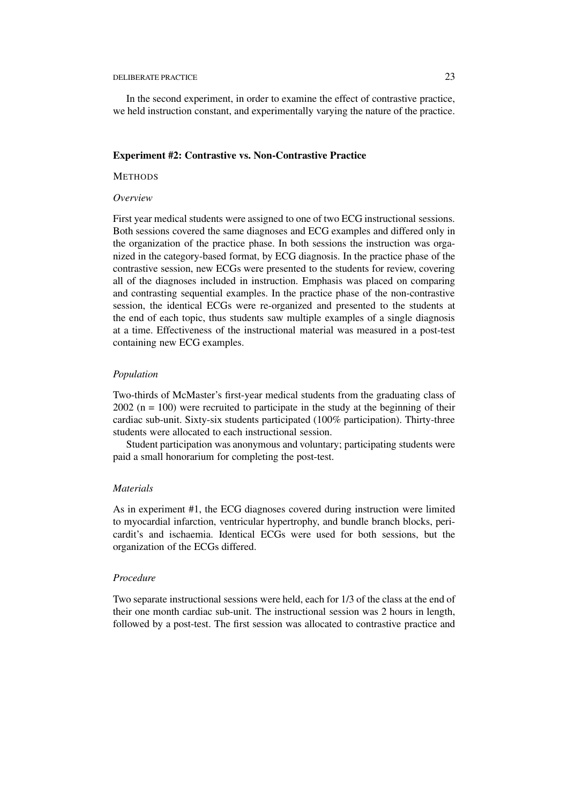In the second experiment, in order to examine the effect of contrastive practice, we held instruction constant, and experimentally varying the nature of the practice.

#### **Experiment #2: Contrastive vs. Non-Contrastive Practice**

**METHODS** 

#### *Overview*

First year medical students were assigned to one of two ECG instructional sessions. Both sessions covered the same diagnoses and ECG examples and differed only in the organization of the practice phase. In both sessions the instruction was organized in the category-based format, by ECG diagnosis. In the practice phase of the contrastive session, new ECGs were presented to the students for review, covering all of the diagnoses included in instruction. Emphasis was placed on comparing and contrasting sequential examples. In the practice phase of the non-contrastive session, the identical ECGs were re-organized and presented to the students at the end of each topic, thus students saw multiple examples of a single diagnosis at a time. Effectiveness of the instructional material was measured in a post-test containing new ECG examples.

# *Population*

Two-thirds of McMaster's first-year medical students from the graduating class of  $2002$  (n = 100) were recruited to participate in the study at the beginning of their cardiac sub-unit. Sixty-six students participated (100% participation). Thirty-three students were allocated to each instructional session.

Student participation was anonymous and voluntary; participating students were paid a small honorarium for completing the post-test.

# *Materials*

As in experiment #1, the ECG diagnoses covered during instruction were limited to myocardial infarction, ventricular hypertrophy, and bundle branch blocks, pericardit's and ischaemia. Identical ECGs were used for both sessions, but the organization of the ECGs differed.

#### *Procedure*

Two separate instructional sessions were held, each for 1/3 of the class at the end of their one month cardiac sub-unit. The instructional session was 2 hours in length, followed by a post-test. The first session was allocated to contrastive practice and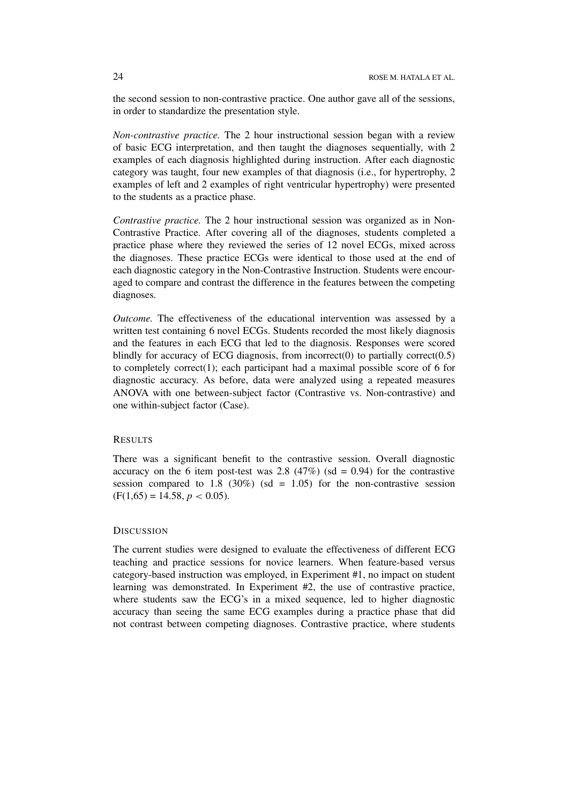the second session to non-contrastive practice. One author gave all of the sessions, in order to standardize the presentation style.

*Non-contrastive practice.* The 2 hour instructional session began with a review of basic ECG interpretation, and then taught the diagnoses sequentially, with 2 examples of each diagnosis highlighted during instruction. After each diagnostic category was taught, four new examples of that diagnosis (i.e., for hypertrophy, 2 examples of left and 2 examples of right ventricular hypertrophy) were presented to the students as a practice phase.

*Contrastive practice.* The 2 hour instructional session was organized as in Non-Contrastive Practice. After covering all of the diagnoses, students completed a practice phase where they reviewed the series of 12 novel ECGs, mixed across the diagnoses. These practice ECGs were identical to those used at the end of each diagnostic category in the Non-Contrastive Instruction. Students were encouraged to compare and contrast the difference in the features between the competing diagnoses.

*Outcome.* The effectiveness of the educational intervention was assessed by a written test containing 6 novel ECGs. Students recorded the most likely diagnosis and the features in each ECG that led to the diagnosis. Responses were scored blindly for accuracy of ECG diagnosis, from incorrect $(0)$  to partially correct $(0.5)$ to completely correct(1); each participant had a maximal possible score of 6 for diagnostic accuracy. As before, data were analyzed using a repeated measures ANOVA with one between-subject factor (Contrastive vs. Non-contrastive) and one within-subject factor (Case).

# **RESULTS**

There was a significant benefit to the contrastive session. Overall diagnostic accuracy on the 6 item post-test was 2.8  $(47%)$  (sd = 0.94) for the contrastive session compared to 1.8 (30%) (sd = 1.05) for the non-contrastive session  $(F(1,65) = 14.58, p < 0.05).$ 

#### **DISCUSSION**

The current studies were designed to evaluate the effectiveness of different ECG teaching and practice sessions for novice learners. When feature-based versus category-based instruction was employed, in Experiment #1, no impact on student learning was demonstrated. In Experiment #2, the use of contrastive practice, where students saw the ECG's in a mixed sequence, led to higher diagnostic accuracy than seeing the same ECG examples during a practice phase that did not contrast between competing diagnoses. Contrastive practice, where students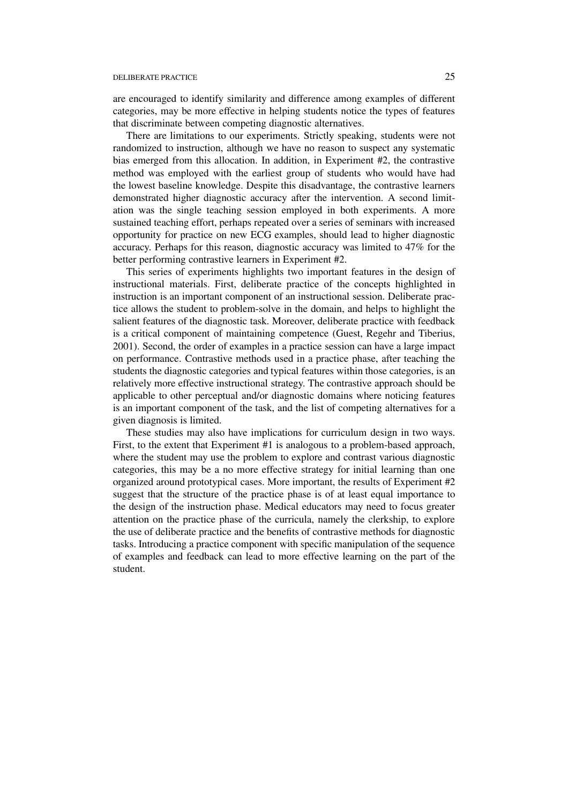are encouraged to identify similarity and difference among examples of different categories, may be more effective in helping students notice the types of features that discriminate between competing diagnostic alternatives.

There are limitations to our experiments. Strictly speaking, students were not randomized to instruction, although we have no reason to suspect any systematic bias emerged from this allocation. In addition, in Experiment #2, the contrastive method was employed with the earliest group of students who would have had the lowest baseline knowledge. Despite this disadvantage, the contrastive learners demonstrated higher diagnostic accuracy after the intervention. A second limitation was the single teaching session employed in both experiments. A more sustained teaching effort, perhaps repeated over a series of seminars with increased opportunity for practice on new ECG examples, should lead to higher diagnostic accuracy. Perhaps for this reason, diagnostic accuracy was limited to 47% for the better performing contrastive learners in Experiment #2.

This series of experiments highlights two important features in the design of instructional materials. First, deliberate practice of the concepts highlighted in instruction is an important component of an instructional session. Deliberate practice allows the student to problem-solve in the domain, and helps to highlight the salient features of the diagnostic task. Moreover, deliberate practice with feedback is a critical component of maintaining competence (Guest, Regehr and Tiberius, 2001). Second, the order of examples in a practice session can have a large impact on performance. Contrastive methods used in a practice phase, after teaching the students the diagnostic categories and typical features within those categories, is an relatively more effective instructional strategy. The contrastive approach should be applicable to other perceptual and/or diagnostic domains where noticing features is an important component of the task, and the list of competing alternatives for a given diagnosis is limited.

These studies may also have implications for curriculum design in two ways. First, to the extent that Experiment #1 is analogous to a problem-based approach, where the student may use the problem to explore and contrast various diagnostic categories, this may be a no more effective strategy for initial learning than one organized around prototypical cases. More important, the results of Experiment #2 suggest that the structure of the practice phase is of at least equal importance to the design of the instruction phase. Medical educators may need to focus greater attention on the practice phase of the curricula, namely the clerkship, to explore the use of deliberate practice and the benefits of contrastive methods for diagnostic tasks. Introducing a practice component with specific manipulation of the sequence of examples and feedback can lead to more effective learning on the part of the student.